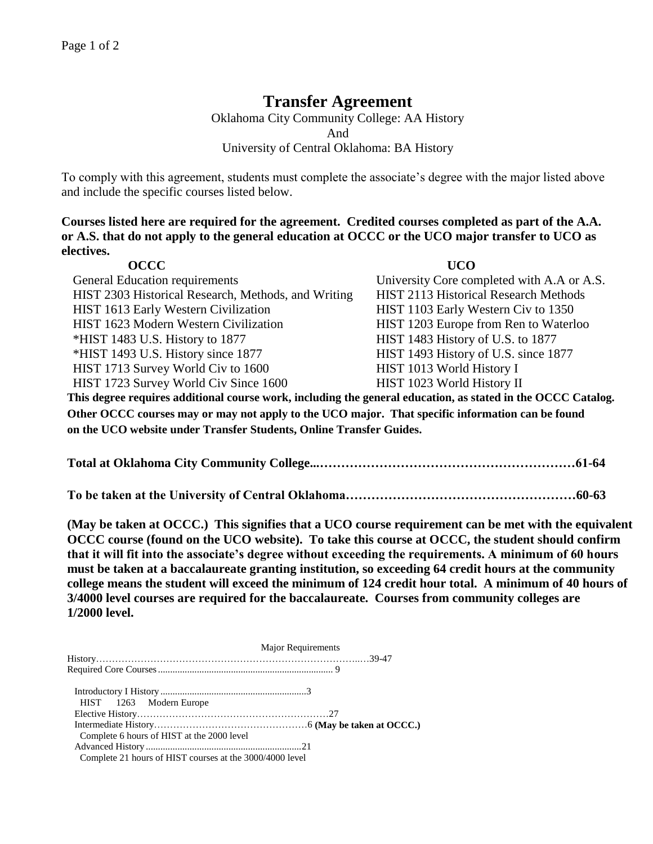## **Transfer Agreement**

Oklahoma City Community College: AA History And University of Central Oklahoma: BA History

To comply with this agreement, students must complete the associate's degree with the major listed above and include the specific courses listed below.

**Courses listed here are required for the agreement. Credited courses completed as part of the A.A. or A.S. that do not apply to the general education at OCCC or the UCO major transfer to UCO as electives.**

| <b>OCCC</b>                                                                                                  | <b>UCO</b>                                   |  |
|--------------------------------------------------------------------------------------------------------------|----------------------------------------------|--|
| <b>General Education requirements</b>                                                                        | University Core completed with A.A or A.S.   |  |
| HIST 2303 Historical Research, Methods, and Writing                                                          | <b>HIST 2113 Historical Research Methods</b> |  |
| HIST 1613 Early Western Civilization                                                                         | HIST 1103 Early Western Civ to 1350          |  |
| HIST 1623 Modern Western Civilization                                                                        | HIST 1203 Europe from Ren to Waterloo        |  |
| *HIST 1483 U.S. History to 1877                                                                              | HIST 1483 History of U.S. to 1877            |  |
| *HIST 1493 U.S. History since 1877                                                                           | HIST 1493 History of U.S. since 1877         |  |
| HIST 1713 Survey World Civ to 1600                                                                           | HIST 1013 World History I                    |  |
| HIST 1723 Survey World Civ Since 1600                                                                        | HIST 1023 World History II                   |  |
| This degree requires additional course work, including the general education, as stated in the OCCC Catalog. |                                              |  |
| Other OCCC courses may or may not apply to the UCO major. That specific information can be found             |                                              |  |
| on the UCO website under Transfer Students, Online Transfer Guides.                                          |                                              |  |

**Total at Oklahoma City Community College...……………………………………………………61-64**

**To be taken at the University of Central Oklahoma………………………………………………60-63**

**(May be taken at OCCC.) This signifies that a UCO course requirement can be met with the equivalent OCCC course (found on the UCO website). To take this course at OCCC, the student should confirm that it will fit into the associate's degree without exceeding the requirements. A minimum of 60 hours must be taken at a baccalaureate granting institution, so exceeding 64 credit hours at the community college means the student will exceed the minimum of 124 credit hour total. A minimum of 40 hours of 3/4000 level courses are required for the baccalaureate. Courses from community colleges are 1/2000 level.**

|                                                          | <b>Major Requirements</b> |  |
|----------------------------------------------------------|---------------------------|--|
|                                                          |                           |  |
|                                                          |                           |  |
|                                                          |                           |  |
| HIST 1263 Modern Europe                                  |                           |  |
|                                                          |                           |  |
|                                                          |                           |  |
| Complete 6 hours of HIST at the 2000 level               |                           |  |
|                                                          |                           |  |
| Complete 21 hours of HIST courses at the 3000/4000 level |                           |  |